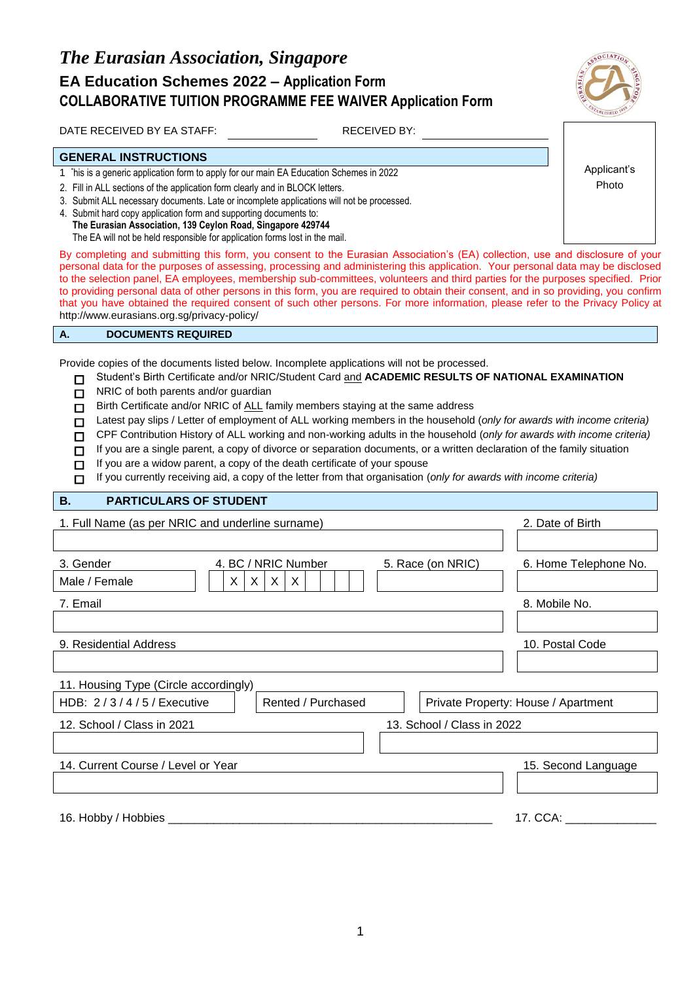

DATE RECEIVED BY EA STAFF: RECEIVED BY:

### **GENERAL INSTRUCTIONS**

- 1 This is a generic application form to apply for our main EA Education Schemes in 2022
- 2. Fill in ALL sections of the application form clearly and in BLOCK letters.
- 3. Submit ALL necessary documents. Late or incomplete applications will not be processed.
- 4. Submit hard copy application form and supporting documents to: **The Eurasian Association, 139 Ceylon Road, Singapore 429744** The EA will not be held responsible for application forms lost in the mail.

By completing and submitting this form, you consent to the Eurasian Association's (EA) collection, use and disclosure of your personal data for the purposes of assessing, processing and administering this application. Your personal data may be disclosed to the selection panel, EA employees, membership sub-committees, volunteers and third parties for the purposes specified. Prior to providing personal data of other persons in this form, you are required to obtain their consent, and in so providing, you confirm that you have obtained the required consent of such other persons. For more information, please refer to the Privacy Policy at http://www.eurasians.org.sg/privacy-policy/

#### **A. DOCUMENTS REQUIRED**

Provide copies of the documents listed below. Incomplete applications will not be processed.

- Student's Birth Certificate and/or NRIC/Student Card and **ACADEMIC RESULTS OF NATIONAL EXAMINATION**  $\Box$
- NRIC of both parents and/or guardian  $\Box$
- Birth Certificate and/or NRIC of ALL family members staying at the same address  $\Box$
- Latest pay slips / Letter of employment of ALL working members in the household (*only for awards with income criteria)*  $\Box$
- CPF Contribution History of ALL working and non-working adults in the household (*only for awards with income criteria)*  $\Box$
- If you are a single parent, a copy of divorce or separation documents, or a written declaration of the family situation  $\Box$
- $\Box$ If you are a widow parent, a copy of the death certificate of your spouse
- If you currently receiving aid, a copy of the letter from that organisation (*only for awards with income criteria)*  $\Box$

#### **B. PARTICULARS OF STUDENT**

| 1. Full Name (as per NRIC and underline surname)          | 2. Date of Birth           |                                     |
|-----------------------------------------------------------|----------------------------|-------------------------------------|
|                                                           |                            |                                     |
| 4. BC / NRIC Number<br>3. Gender                          | 5. Race (on NRIC)          | 6. Home Telephone No.               |
| X.<br>X.<br>Male / Female<br>$\mathsf{X}$<br>$\mathsf{X}$ |                            |                                     |
| 7. Email                                                  |                            | 8. Mobile No.                       |
|                                                           |                            |                                     |
| 9. Residential Address                                    |                            | 10. Postal Code                     |
|                                                           |                            |                                     |
| 11. Housing Type (Circle accordingly)                     |                            |                                     |
| HDB: 2/3/4/5/Executive<br>Rented / Purchased              |                            | Private Property: House / Apartment |
| 12. School / Class in 2021                                | 13. School / Class in 2022 |                                     |
|                                                           |                            |                                     |
| 14. Current Course / Level or Year                        |                            | 15. Second Language                 |
|                                                           |                            |                                     |
|                                                           |                            |                                     |
| 16. Hobby / Hobbies _                                     |                            | 17. CCA:                            |